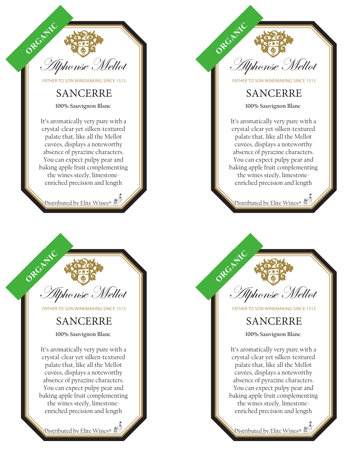

FATHER TO SON WINEMAKING SINCE 1513

#### SANCERRE

**100% Sauvignon Blanc** 

It's aromatically very pure with a crystal-clear yet silken-textured palate that, like all the Mellot cuvées, displays a noteworthy absence of pyrazine characters. You can expect pulpy pear and baking apple fruit complementing the wines steely, limestoneenriched precision and length

Distributed by Elite Wines®



FATHER TO SON WINEMAKING SINCE 1513

#### SANCERRE

**100% Sauvignon Blanc** 

It's aromatically very pure with a crystal-clear yet silken-textured palate that, like all the Mellot cuvées, displays a noteworthy absence of pyrazine characters. You can expect pulpy pear and baking apple fruit complementing the wines steely, limestoneenriched precision and length

Distributed by Elite Wines®



FATHER TO SON WINEMAKING SINCE 1513

## SANCERRE

**100% Sauvignon Blanc** 

It's aromatically very pure with a crystal-clear yet silken-textured palate that, like all the Mellot cuvées, displays a noteworthy absence of pyrazine characters. You can expect pulpy pear and baking apple fruit complementing the wines steely, limestoneenriched precision and length

Distributed by Elite Wines®



FATHER TO SON WINEMAKING SINCE 1513

### SANCERRE

**100% Sauvignon Blanc** 

It's aromatically very pure with a crystal-clear yet silken-textured palate that, like all the Mellot cuvées, displays a noteworthy absence of pyrazine characters. You can expect pulpy pear and baking apple fruit complementing the wines steely, limestoneenriched precision and length

Distributed by Elite Wines®  $\bigoplus^{\infty}_{\mathbb{Z}}$